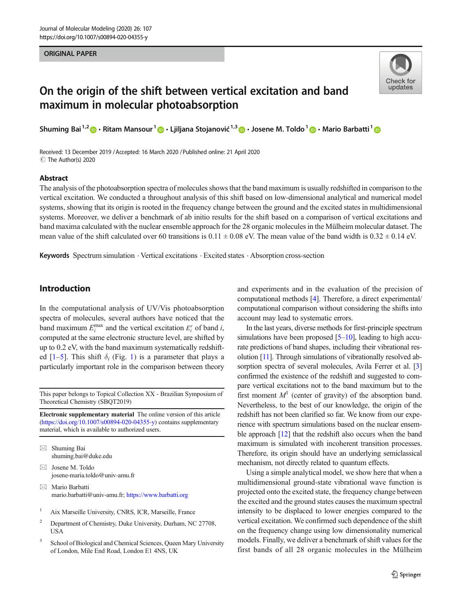#### ORIGINAL PAPER



# On the origin of the shift between vertical excitation and band maximum in molecular photoabsorption

Shuming Bai<sup>1,2</sup>  $\cdot$  Ritam Mansour<sup>1</sup>  $\cdot$  Liiljana Stojanović<sup>1,3</sup>  $\cdot$  Josene M. Toldo<sup>1</sup>  $\cdot$  Mario Barbatti<sup>1</sup>

Received: 13 December 2019 /Accepted: 16 March 2020 /Published online: 21 April 2020 C The Author(s) 2020

#### Abstract

The analysis of the photoabsorption spectra of molecules shows that the band maximum is usually redshifted in comparison to the vertical excitation. We conducted a throughout analysis of this shift based on low-dimensional analytical and numerical model systems, showing that its origin is rooted in the frequency change between the ground and the excited states in multidimensional systems. Moreover, we deliver a benchmark of ab initio results for the shift based on a comparison of vertical excitations and band maxima calculated with the nuclear ensemble approach for the 28 organic molecules in the Mülheim molecular dataset. The mean value of the shift calculated over 60 transitions is  $0.11 \pm 0.08$  eV. The mean value of the band width is  $0.32 \pm 0.14$  eV.

Keywords Spectrum simulation . Vertical excitations . Excited states . Absorption cross-section

# Introduction

In the computational analysis of UV/Vis photoabsorption spectra of molecules, several authors have noticed that the band maximum  $E_i^{\text{max}}$  and the vertical excitation  $E_i^{\text{v}}$  of band *i*, computed at the same electronic structure level, are shifted by up to 0.2 eV, with the band maximum systematically redshifted  $[1-5]$  $[1-5]$  $[1-5]$  $[1-5]$ . This shift  $\delta_i$  (Fig. [1\)](#page-1-0) is a parameter that plays a particularly important role in the comparison between theory

This paper belongs to Topical Collection XX - Brazilian Symposium of Theoretical Chemistry (SBQT2019)

Electronic supplementary material The online version of this article ([https://doi.org/10.1007/s00894-020-04355-y\)](https://doi.org/10.1007/s00894-020-04355-y) contains supplementary material, which is available to authorized users.

 $\boxtimes$  Shuming Bai [shuming.bai@duke.edu](mailto:shuming.bai@duke.edu)

- $\boxtimes$  Josene M. Toldo [josene-maria.toldo@univ-amu.fr](mailto:josene-maria.toldo@univ-amu.fr)
- $\boxtimes$  Mario Barbatti [mario.barbatti@univ-amu.fr;](mailto:mario.barbatti@univ-amu.fr) https://www.barbatti.org
- <sup>1</sup> Aix Marseille University, CNRS, ICR, Marseille, France
- <sup>2</sup> Department of Chemistry, Duke University, Durham, NC 27708, **USA**
- <sup>3</sup> School of Biological and Chemical Sciences, Queen Mary University of London, Mile End Road, London E1 4NS, UK

and experiments and in the evaluation of the precision of computational methods [\[4](#page-7-0)]. Therefore, a direct experimental/ computational comparison without considering the shifts into account may lead to systematic errors.

In the last years, diverse methods for first-principle spectrum simulations have been proposed  $[5–10]$  $[5–10]$  $[5–10]$ , leading to high accurate predictions of band shapes, including their vibrational resolution [\[11\]](#page-8-0). Through simulations of vibrationally resolved ab-sorption spectra of several molecules, Avila Ferrer et al. [\[3](#page-7-0)] confirmed the existence of the redshift and suggested to compare vertical excitations not to the band maximum but to the first moment  $M<sup>1</sup>$  (center of gravity) of the absorption band. Nevertheless, to the best of our knowledge, the origin of the redshift has not been clarified so far. We know from our experience with spectrum simulations based on the nuclear ensem-ble approach [[12](#page-8-0)] that the redshift also occurs when the band maximum is simulated with incoherent transition processes. Therefore, its origin should have an underlying semiclassical mechanism, not directly related to quantum effects.

Using a simple analytical model, we show here that when a multidimensional ground-state vibrational wave function is projected onto the excited state, the frequency change between the excited and the ground states causes the maximum spectral intensity to be displaced to lower energies compared to the vertical excitation. We confirmed such dependence of the shift on the frequency change using low dimensionality numerical models. Finally, we deliver a benchmark of shift values for the first bands of all 28 organic molecules in the Mülheim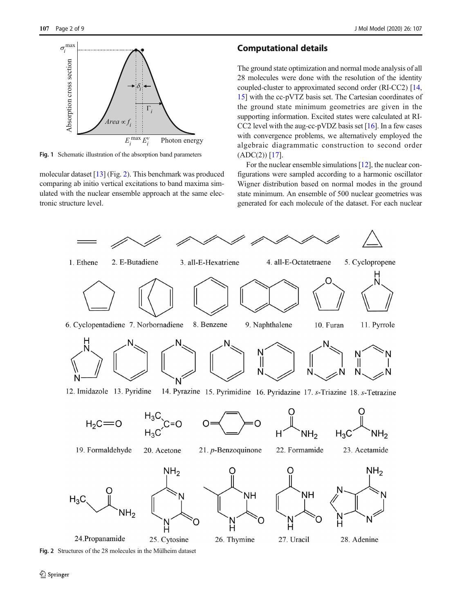<span id="page-1-0"></span>

Fig. 1 Schematic illustration of the absorption band parameters

molecular dataset [\[13](#page-8-0)] (Fig. 2). This benchmark was produced comparing ab initio vertical excitations to band maxima simulated with the nuclear ensemble approach at the same electronic structure level.

## Computational details

The ground state optimization and normal mode analysis of all 28 molecules were done with the resolution of the identity coupled-cluster to approximated second order (RI-CC2) [\[14,](#page-8-0) [15\]](#page-8-0) with the cc-pVTZ basis set. The Cartesian coordinates of the ground state minimum geometries are given in the supporting information. Excited states were calculated at RI-CC2 level with the aug-cc-pVDZ basis set  $[16]$  $[16]$ . In a few cases with convergence problems, we alternatively employed the algebraic diagrammatic construction to second order  $(ADC(2))$  [\[17\]](#page-8-0).

For the nuclear ensemble simulations [\[12](#page-8-0)], the nuclear configurations were sampled according to a harmonic oscillator Wigner distribution based on normal modes in the ground state minimum. An ensemble of 500 nuclear geometries was generated for each molecule of the dataset. For each nuclear



Fig. 2 Structures of the 28 molecules in the Mülheim dataset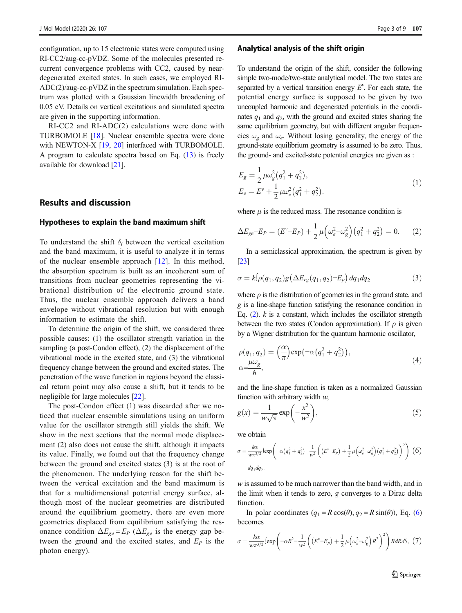<span id="page-2-0"></span>configuration, up to 15 electronic states were computed using RI-CC2/aug-cc-pVDZ. Some of the molecules presented recurrent convergence problems with CC2, caused by neardegenerated excited states. In such cases, we employed RI-ADC(2)/aug-cc-pVDZ in the spectrum simulation. Each spectrum was plotted with a Gaussian linewidth broadening of 0.05 eV. Details on vertical excitations and simulated spectra are given in the supporting information.

RI-CC2 and RI-ADC(2) calculations were done with TURBOMOLE [[18\]](#page-8-0). Nuclear ensemble spectra were done with NEWTON-X [[19,](#page-8-0) [20](#page-8-0)] interfaced with TURBOMOLE. A program to calculate spectra based on Eq.  $(13)$  $(13)$  $(13)$  is freely available for download [\[21](#page-8-0)].

## Results and discussion

#### Hypotheses to explain the band maximum shift

To understand the shift  $\delta_i$  between the vertical excitation and the band maximum, it is useful to analyze it in terms of the nuclear ensemble approach [\[12](#page-8-0)]. In this method, the absorption spectrum is built as an incoherent sum of transitions from nuclear geometries representing the vibrational distribution of the electronic ground state. Thus, the nuclear ensemble approach delivers a band envelope without vibrational resolution but with enough information to estimate the shift.

To determine the origin of the shift, we considered three possible causes: (1) the oscillator strength variation in the sampling (a post-Condon effect), (2) the displacement of the vibrational mode in the excited state, and (3) the vibrational frequency change between the ground and excited states. The penetration of the wave function in regions beyond the classical return point may also cause a shift, but it tends to be negligible for large molecules [[22\]](#page-8-0).

The post-Condon effect (1) was discarded after we noticed that nuclear ensemble simulations using an uniform value for the oscillator strength still yields the shift. We show in the next sections that the normal mode displacement (2) also does not cause the shift, although it impacts its value. Finally, we found out that the frequency change between the ground and excited states (3) is at the root of the phenomenon. The underlying reason for the shift between the vertical excitation and the band maximum is that for a multidimensional potential energy surface, although most of the nuclear geometries are distributed around the equilibrium geometry, there are even more geometries displaced from equilibrium satisfying the resonance condition  $\Delta E_{ge} = E_P$  ( $\Delta E_{ge}$  is the energy gap between the ground and the excited states, and  $E<sub>P</sub>$  is the photon energy).

#### Analytical analysis of the shift origin

To understand the origin of the shift, consider the following simple two-mode/two-state analytical model. The two states are separated by a vertical transition energy  $E<sup>v</sup>$ . For each state, the potential energy surface is supposed to be given by two uncoupled harmonic and degenerated potentials in the coordinates  $q_1$  and  $q_2$ , with the ground and excited states sharing the same equilibrium geometry, but with different angular frequencies  $\omega_{\rm g}$  and  $\omega_{\rm e}$ . Without losing generality, the energy of the ground-state equilibrium geometry is assumed to be zero. Thus, the ground- and excited-state potential energies are given as :

$$
E_g = \frac{1}{2} \mu \omega_g^2 (q_1^2 + q_2^2),
$$
  
\n
$$
E_e = E^{\nu} + \frac{1}{2} \mu \omega_e^2 (q_1^2 + q_2^2).
$$
\n(1)

where  $\mu$  is the reduced mass. The resonance condition is

$$
\Delta E_{ge} - E_P = (E^{\nu} - E_P) + \frac{1}{2} \mu \left( \omega_e^2 - \omega_g^2 \right) \left( q_1^2 + q_2^2 \right) = 0. \tag{2}
$$

In a semiclassical approximation, the spectrum is given by [\[23](#page-8-0)]

$$
\sigma = k \int \rho(q_1, q_2) g\left(\Delta E_{eg}(q_1, q_2) - E_p\right) dq_1 dq_2 \tag{3}
$$

where  $\rho$  is the distribution of geometries in the ground state, and g is a line-shape function satisfying the resonance condition in Eq.  $(2)$ . k is a constant, which includes the oscillator strength between the two states (Condon approximation). If  $\rho$  is given by a Wigner distribution for the quantum harmonic oscillator,

$$
\rho(q_1, q_2) = \left(\frac{\alpha}{\pi}\right) \exp\left(-\alpha \left(q_1^2 + q_2^2\right)\right),
$$
  
\n
$$
\alpha = \frac{\mu \omega_g}{\hbar},
$$
\n(4)

and the line-shape function is taken as a normalized Gaussian function with arbitrary width w,

$$
g(x) = \frac{1}{w\sqrt{\pi}} \exp\left(-\frac{x^2}{w^2}\right),\tag{5}
$$

we obtain

$$
\sigma = \frac{k\alpha}{w\pi^{3/2}} \left[ \exp\left( -\alpha (q_1^2 + q_2^2) - \frac{1}{w^2} \left( (E^v - E_p) + \frac{1}{2} \mu \left( \omega_e^2 - \omega_g^2 \right) (q_1^2 + q_2^2) \right)^2 \right) (6)
$$
  

$$
dq_1 dq_2.
$$

w is assumed to be much narrower than the band width, and in the limit when it tends to zero, g converges to a Dirac delta function.

In polar coordinates  $(q_1 = R \cos(\theta), q_2 = R \sin(\theta))$ , Eq. (6) becomes

$$
\sigma = \frac{k\alpha}{w\pi^{3/2}} \left[ \exp\left( -\alpha R^2 - \frac{1}{w^2} \left( \left( E^{\nu} - E_p \right) + \frac{1}{2} \mu \left( \omega_e^2 - \omega_g^2 \right) R^2 \right)^2 \right) R dR d\theta, \tag{7}
$$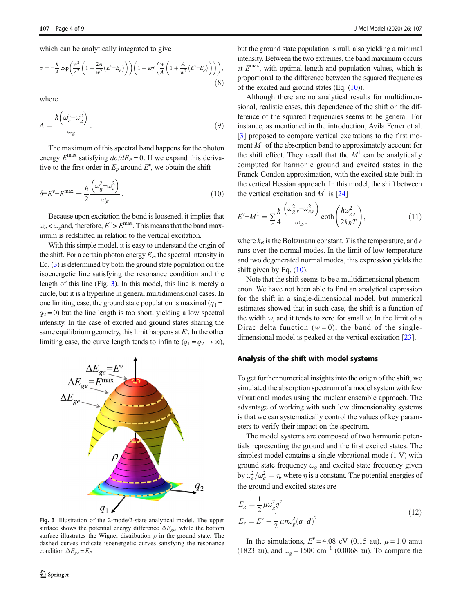$$
\sigma = -\frac{k}{A} \exp\left(\frac{w^2}{A^2} \left(1 + \frac{2A}{w^2} \left(E^{\nu} - E_p\right)\right)\right) \left(1 + erf\left(\frac{w}{A} \left(1 + \frac{A}{w^2} \left(E^{\nu} - E_p\right)\right)\right)\right),\tag{8}
$$

where

$$
A = \frac{\hbar \left(\omega_e^2 - \omega_g^2\right)}{\omega_g}.
$$
\n(9)

The maximum of this spectral band happens for the photon energy  $E^{max}$  satisfying  $d\sigma/dE_P = 0$ . If we expand this derivative to the first order in  $E_p$  around  $E^v$ , we obtain the shift

$$
\delta \equiv E^{\nu} - E^{\text{max}} = \frac{\hbar}{2} \frac{\left(\omega_g^2 - \omega_e^2\right)}{\omega_g}.
$$
\n(10)

Because upon excitation the bond is loosened, it implies that  $\omega_e < \omega_o$  and, therefore,  $E^v > E^{\text{max}}$ . This means that the band maximum is redshifted in relation to the vertical excitation.

With this simple model, it is easy to understand the origin of the shift. For a certain photon energy  $E<sub>P</sub>$ , the spectral intensity in Eq. [\(3\)](#page-2-0) is determined by both the ground state population on the isoenergetic line satisfying the resonance condition and the length of this line (Fig. 3). In this model, this line is merely a circle, but it is a hyperline in general multidimensional cases. In one limiting case, the ground state population is maximal  $(q_1 =$  $q_2 = 0$ ) but the line length is too short, yielding a low spectral intensity. In the case of excited and ground states sharing the same equilibrium geometry, this limit happens at  $E<sup>v</sup>$ . In the other limiting case, the curve length tends to infinite  $(q_1 = q_2 \rightarrow \infty)$ ,



Fig. 3 Illustration of the 2-mode/2-state analytical model. The upper surface shows the potential energy difference  $\Delta E_{ge}$ , while the bottom surface illustrates the Wigner distribution  $\rho$  in the ground state. The dashed curves indicate isoenergetic curves satisfying the resonance condition  $\Delta E_{ge} = E_P$ 

but the ground state population is null, also yielding a minimal intensity. Between the two extremes, the band maximum occurs at  $E<sup>max</sup>$ , with optimal length and population values, which is proportional to the difference between the squared frequencies of the excited and ground states (Eq. (10)).

Although there are no analytical results for multidimensional, realistic cases, this dependence of the shift on the difference of the squared frequencies seems to be general. For instance, as mentioned in the introduction, Avila Ferrer et al. [\[3](#page-7-0)] proposed to compare vertical excitations to the first moment  $M<sup>1</sup>$  of the absorption band to approximately account for the shift effect. They recall that the  $M<sup>1</sup>$  can be analytically computed for harmonic ground and excited states in the Franck-Condon approximation, with the excited state built in the vertical Hessian approach. In this model, the shift between the vertical excitation and  $M^1$  is [[24\]](#page-8-0)

$$
E^{\nu} - M^1 = \sum_r \frac{\hbar}{4} \frac{\left(\omega_{g,r}^2 - \omega_{e,r}^2\right)}{\omega_{g,r}} \coth\left(\frac{\hbar \omega_{g,r}^2}{2k_B T}\right),\tag{11}
$$

where  $k_B$  is the Boltzmann constant, T is the temperature, and r runs over the normal modes. In the limit of low temperature and two degenerated normal modes, this expression yields the shift given by Eq. (10).

Note that the shift seems to be a multidimensional phenomenon. We have not been able to find an analytical expression for the shift in a single-dimensional model, but numerical estimates showed that in such case, the shift is a function of the width  $w$ , and it tends to zero for small  $w$ . In the limit of a Dirac delta function  $(w = 0)$ , the band of the singledimensional model is peaked at the vertical excitation [\[23](#page-8-0)].

## Analysis of the shift with model systems

To get further numerical insights into the origin of the shift, we simulated the absorption spectrum of a model system with few vibrational modes using the nuclear ensemble approach. The advantage of working with such low dimensionality systems is that we can systematically control the values of key parameters to verify their impact on the spectrum.

The model systems are composed of two harmonic potentials representing the ground and the first excited states. The simplest model contains a single vibrational mode (1 V) with ground state frequency  $\omega_g$  and excited state frequency given by  $\omega_e^2/\omega_g^2 = \eta$ , where  $\eta$  is a constant. The potential energies of the ground and excited states are

$$
E_g = \frac{1}{2} \mu \omega_g^2 q^2
$$
  
\n
$$
E_e = E^{\nu} + \frac{1}{2} \mu \eta \omega_g^2 (q - d)^2
$$
\n(12)

In the simulations,  $E^{\nu} = 4.08$  eV (0.15 au),  $\mu = 1.0$  amu (1823 au), and  $\omega_g = 1500 \text{ cm}^{-1}$  (0.0068 au). To compute the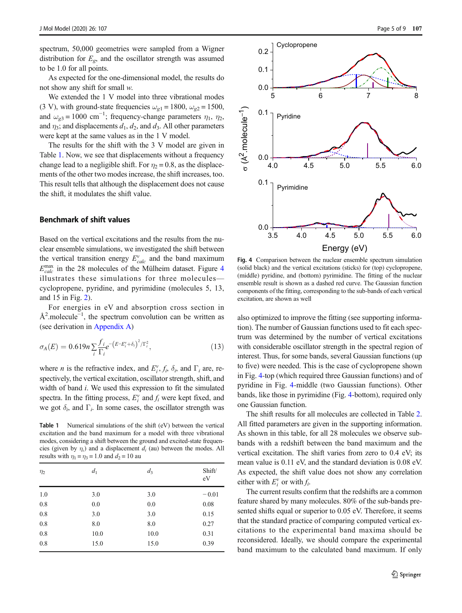<span id="page-4-0"></span>spectrum, 50,000 geometries were sampled from a Wigner distribution for  $E_{\varrho}$ , and the oscillator strength was assumed to be 1.0 for all points.

As expected for the one-dimensional model, the results do not show any shift for small w.

We extended the 1 V model into three vibrational modes (3 V), with ground-state frequencies  $\omega_{\alpha 1} = 1800$ ,  $\omega_{\alpha 2} = 1500$ , and  $\omega_{g3} = 1000 \text{ cm}^{-1}$ ; frequency-change parameters  $\eta_1$ ,  $\eta_2$ , and  $\eta_3$ ; and displacements  $d_1$ ,  $d_2$ , and  $d_3$ . All other parameters were kept at the same values as in the 1 V model.

The results for the shift with the 3 V model are given in Table 1. Now, we see that displacements without a frequency change lead to a negligible shift. For  $\eta_2 = 0.8$ , as the displacements of the other two modes increase, the shift increases, too. This result tells that although the displacement does not cause the shift, it modulates the shift value.

### Benchmark of shift values

Based on the vertical excitations and the results from the nuclear ensemble simulations, we investigated the shift between the vertical transition energy  $E_{calc}^{v}$  and the band maximum  $E_{calc}^{\text{max}}$  in the 28 molecules of the Mülheim dataset. Figure 4 illustrates these simulations for three molecules cyclopropene, pyridine, and pyrimidine (molecules 5, 13, and 15 in Fig. [2](#page-1-0)).

For energies in eV and absorption cross section in Å<sup>2</sup>.molecule<sup>-1</sup>, the spectrum convolution can be written as (see derivation in [Appendix A](#page-7-0))

$$
\sigma_A(E) = 0.619n \sum_{i} \frac{f_i}{\Gamma_i} e^{-\left(E - E_i^{\nu} + \delta_i\right)^2 / \Gamma_i^2},\tag{13}
$$

where *n* is the refractive index, and  $E_i^v$ ,  $f_i$ ,  $\delta_i$ , and  $\Gamma_i$  are, respectively, the vertical excitation, oscillator strength, shift, and width of band *i*. We used this expression to fit the simulated spectra. In the fitting process,  $E_i^v$  and  $f_i$  were kept fixed, and we got  $\delta_i$ , and  $\Gamma_i$ . In some cases, the oscillator strength was

Table 1 Numerical simulations of the shift (eV) between the vertical excitation and the band maximum for a model with three vibrational modes, considering a shift between the ground and excited-state frequencies (given by  $\eta_i$ ) and a displacement  $d_i$  (au) between the modes. All results with  $\eta_1 = \eta_3 = 1.0$  and  $d_2 = 10$  au

| $\eta_2$ | d <sub>1</sub> | $d_3$ | Shift/<br>eV |
|----------|----------------|-------|--------------|
| 1.0      | 3.0            | 3.0   | $-0.01$      |
| 0.8      | 0.0            | 0.0   | 0.08         |
| 0.8      | 3.0            | 3.0   | 0.15         |
| 0.8      | 8.0            | 8.0   | 0.27         |
| 0.8      | 10.0           | 10.0  | 0.31         |
| 0.8      | 15.0           | 15.0  | 0.39         |



Fig. 4 Comparison between the nuclear ensemble spectrum simulation (solid black) and the vertical excitations (sticks) for (top) cyclopropene, (middle) pyridine, and (bottom) pyrimidine. The fitting of the nuclear ensemble result is shown as a dashed red curve. The Gaussian function components of the fitting, corresponding to the sub-bands of each vertical excitation, are shown as well

also optimized to improve the fitting (see supporting information). The number of Gaussian functions used to fit each spectrum was determined by the number of vertical excitations with considerable oscillator strength in the spectral region of interest. Thus, for some bands, several Gaussian functions (up to five) were needed. This is the case of cyclopropene shown in Fig. 4-top (which required three Gaussian functions) and of pyridine in Fig. 4-middle (two Gaussian functions). Other bands, like those in pyrimidine (Fig. 4-bottom), required only one Gaussian function.

The shift results for all molecules are collected in Table [2.](#page-5-0) All fitted parameters are given in the supporting information. As shown in this table, for all 28 molecules we observe subbands with a redshift between the band maximum and the vertical excitation. The shift varies from zero to 0.4 eV; its mean value is 0.11 eV, and the standard deviation is 0.08 eV. As expected, the shift value does not show any correlation either with  $E_i^v$  or with  $f_i$ .

The current results confirm that the redshifts are a common feature shared by many molecules. 80% of the sub-bands presented shifts equal or superior to 0.05 eV. Therefore, it seems that the standard practice of comparing computed vertical excitations to the experimental band maxima should be reconsidered. Ideally, we should compare the experimental band maximum to the calculated band maximum. If only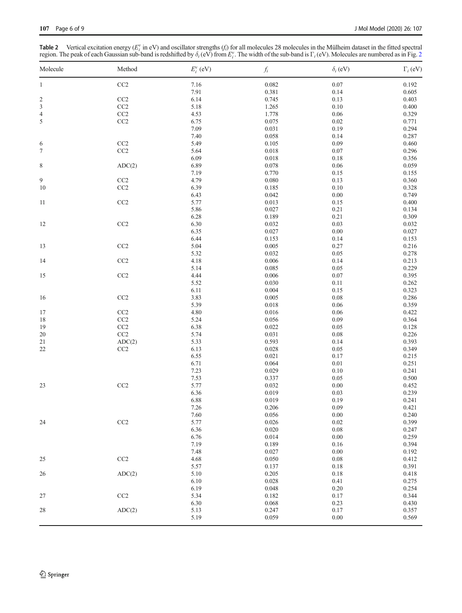<span id="page-5-0"></span>**Table [2](#page-1-0)** Vertical excitation energy ( $E_i^v$  in eV) and oscillator strengths ( $f_i$ ) for all molecules 28 molecules in the Mülheim dataset in the fitted spectral region. The peak of each Gaussian sub-band is redshifted by

| Molecule                | Method    | $E_i^v$ (eV) | $f_i\,$   | $\delta_i$ (eV) | $\Gamma_i$ (eV) |
|-------------------------|-----------|--------------|-----------|-----------------|-----------------|
| $\mathbf{1}$            | CC2       | 7.16         | 0.082     | 0.07            | 0.192           |
|                         |           | 7.91         | 0.381     | 0.14            | 0.605           |
| $\overline{\mathbf{c}}$ | CC2       | 6.14         | 0.745     | 0.13            | 0.403           |
| $\sqrt{3}$              | $\rm CC2$ | 5.18         | 1.265     | 0.10            | 0.400           |
| $\sqrt{4}$              | $\rm CC2$ | 4.53         | 1.778     | 0.06            | 0.329           |
| $\sqrt{5}$              | $\rm CC2$ | 6.75         | 0.075     | 0.02            | 0.771           |
|                         |           | 7.09         | 0.031     | 0.19            | 0.294           |
|                         |           | 7.40         | 0.058     | 0.14            | 0.287           |
|                         | $\rm CC2$ |              | 0.105     | 0.09            |                 |
| 6                       |           | 5.49         |           |                 | 0.460           |
| $\tau$                  | CC2       | 5.64         | $0.018\,$ | $0.07\,$        | 0.296           |
|                         |           | 6.09         | 0.018     | 0.18            | 0.356           |
| $\,$ 8 $\,$             | ADC(2)    | 6.89         | $0.078\,$ | 0.06            | 0.059           |
|                         |           | 7.19         | 0.770     | 0.15            | 0.155           |
| 9                       | $\rm CC2$ | 4.79         | 0.080     | 0.13            | 0.360           |
| 10                      | CC2       | 6.39         | 0.185     | 0.10            | 0.328           |
|                         |           | 6.43         | 0.042     | $0.00\,$        | 0.749           |
| 11                      | CC2       | 5.77         | 0.013     | 0.15            | 0.400           |
|                         |           | 5.86         | 0.027     | 0.21            | 0.134           |
|                         |           | 6.28         | 0.189     | 0.21            | 0.309           |
|                         |           |              |           |                 |                 |
| 12                      | CC2       | 6.30         | 0.032     | 0.03            | 0.032           |
|                         |           | 6.35         | 0.027     | $0.00\,$        | 0.027           |
|                         |           | 6.44         | 0.153     | 0.14            | 0.153           |
| 13                      | CC2       | 5.04         | 0.005     | 0.27            | 0.216           |
|                         |           | 5.32         | 0.032     | 0.05            | 0.278           |
| 14                      | CC2       | 4.18         | $0.006\,$ | 0.14            | 0.213           |
|                         |           | 5.14         | 0.085     | 0.05            | 0.229           |
| 15                      | CC2       | 4.44         | 0.006     | $0.07\,$        | 0.395           |
|                         |           | 5.52         | 0.030     | 0.11            | 0.262           |
|                         |           | 6.11         | 0.004     | 0.15            | 0.323           |
|                         |           |              | 0.005     | $0.08\,$        | 0.286           |
| 16                      | $\rm CC2$ | 3.83         |           |                 |                 |
|                         |           | 5.39         | $0.018\,$ | $0.06\,$        | 0.359           |
| 17                      | CC2       | 4.80         | 0.016     | 0.06            | 0.422           |
| 18                      | CC2       | 5.24         | 0.056     | 0.09            | 0.364           |
| 19                      | CC2       | 6.38         | 0.022     | 0.05            | 0.128           |
| $20\,$                  | $\rm CC2$ | 5.74         | 0.031     | $0.08\,$        | 0.226           |
| 21                      | ADC(2)    | 5.33         | 0.593     | 0.14            | 0.393           |
| 22                      | CC2       | 6.13         | 0.028     | 0.05            | 0.349           |
|                         |           | 6.55         | 0.021     | 0.17            | 0.215           |
|                         |           | 6.71         | 0.064     | $0.01\,$        | 0.251           |
|                         |           | 7.23         | 0.029     | 0.10            | 0.241           |
|                         |           | 7.53         | 0.337     | 0.05            |                 |
|                         |           |              |           |                 | 0.500           |
| 23                      | CC2       | 5.77         | 0.032     | 0.00            | 0.452           |
|                         |           | 6.36         | 0.019     | 0.03            | 0.239           |
|                         |           | 6.88         | 0.019     | 0.19            | 0.241           |
|                         |           | 7.26         | 0.206     | 0.09            | 0.421           |
|                         |           | 7.60         | 0.056     | $0.00\,$        | 0.240           |
| 24                      | CC2       | 5.77         | 0.026     | 0.02            | 0.399           |
|                         |           | 6.36         | 0.020     | $0.08\,$        | 0.247           |
|                         |           | 6.76         | 0.014     | $0.00\,$        | 0.259           |
|                         |           | 7.19         | 0.189     | 0.16            | 0.394           |
|                         |           | 7.48         | 0.027     | 0.00            | 0.192           |
|                         |           |              |           |                 |                 |
| 25                      | CC2       | 4.68         | 0.050     | $0.08\,$        | 0.412           |
| 26                      |           | 5.57         | 0.137     | $0.18\,$        | 0.391           |
|                         | ADC(2)    | 5.10         | 0.205     | $0.18\,$        | 0.418           |
|                         |           | 6.10         | 0.028     | 0.41            | 0.275           |
|                         |           | 6.19         | 0.048     | 0.20            | 0.254           |
| $27\,$                  | CC2       | 5.34         | 0.182     | 0.17            | 0.344           |
|                         |           | 6.30         | 0.068     | 0.23            | 0.430           |
| $28\,$                  | ADC(2)    | 5.13         | 0.247     | 0.17            | 0.357           |
|                         |           | 5.19         | 0.059     | $0.00\,$        | 0.569           |
|                         |           |              |           |                 |                 |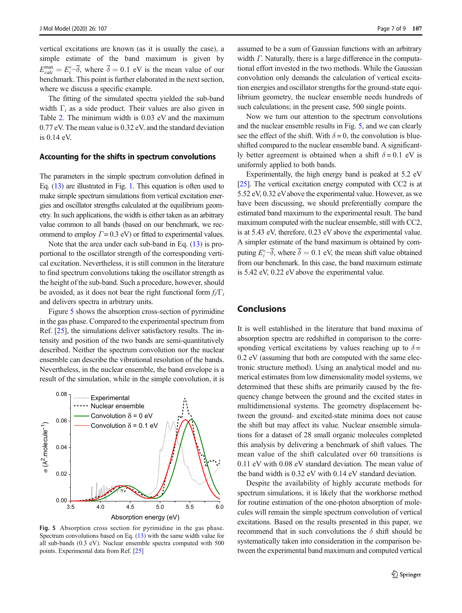vertical excitations are known (as it is usually the case), a simple estimate of the band maximum is given by  $E_{calc}^{\text{max}} = E_i^{\nu} - \overline{\delta}$ , where  $\overline{\delta} = 0.1$  eV is the mean value of our benchmark. This point is further elaborated in the next section, where we discuss a specific example.

The fitting of the simulated spectra yielded the sub-band width  $\Gamma_i$  as a side product. Their values are also given in Table [2.](#page-5-0) The minimum width is 0.03 eV and the maximum 0.77 eV. The mean value is 0.32 eV, and the standard deviation is 0.14 eV.

#### Accounting for the shifts in spectrum convolutions

The parameters in the simple spectrum convolution defined in Eq. ([13](#page-4-0)) are illustrated in Fig. [1.](#page-1-0) This equation is often used to make simple spectrum simulations from vertical excitation energies and oscillator strengths calculated at the equilibrium geometry. In such applications, the width is either taken as an arbitrary value common to all bands (based on our benchmark, we recommend to employ  $\Gamma = 0.3$  eV) or fitted to experimental values.

Note that the area under each sub-band in Eq. [\(13\)](#page-4-0) is proportional to the oscillator strength of the corresponding vertical excitation. Nevertheless, it is still common in the literature to find spectrum convolutions taking the oscillator strength as the height of the sub-band. Such a procedure, however, should be avoided, as it does not bear the right functional form  $f_i/\Gamma_i$ and delivers spectra in arbitrary units.

Figure 5 shows the absorption cross-section of pyrimidine in the gas phase. Compared to the experimental spectrum from Ref. [\[25](#page-8-0)], the simulations deliver satisfactory results. The intensity and position of the two bands are semi-quantitatively described. Neither the spectrum convolution nor the nuclear ensemble can describe the vibrational resolution of the bands. Nevertheless, in the nuclear ensemble, the band envelope is a result of the simulation, while in the simple convolution, it is



Fig. 5 Absorption cross section for pyrimidine in the gas phase. Spectrum convolutions based on Eq. [\(13](#page-4-0)) with the same width value for all sub-bands (0.3 eV). Nuclear ensemble spectra computed with 500 points. Experimental data from Ref. [\[25](#page-8-0)]

assumed to be a sum of Gaussian functions with an arbitrary width Γ. Naturally, there is a large difference in the computational effort invested in the two methods. While the Gaussian convolution only demands the calculation of vertical excitation energies and oscillator strengths for the ground-state equilibrium geometry, the nuclear ensemble needs hundreds of such calculations; in the present case, 500 single points.

Now we turn our attention to the spectrum convolutions and the nuclear ensemble results in Fig. 5, and we can clearly see the effect of the shift. With  $\delta = 0$ , the convolution is blueshifted compared to the nuclear ensemble band. A significantly better agreement is obtained when a shift  $\delta = 0.1$  eV is uniformly applied to both bands.

Experimentally, the high energy band is peaked at 5.2 eV [\[25\]](#page-8-0). The vertical excitation energy computed with CC2 is at 5.52 eV, 0.32 eVabove the experimental value. However, as we have been discussing, we should preferentially compare the estimated band maximum to the experimental result. The band maximum computed with the nuclear ensemble, still with CC2, is at 5.43 eV, therefore, 0.23 eV above the experimental value. A simpler estimate of the band maximum is obtained by computing  $E_i^{\nu}$  – $\overline{\delta}$ , where  $\overline{\delta} = 0.1$  eV, the mean shift value obtained from our benchmark. In this case, the band maximum estimate is 5.42 eV, 0.22 eV above the experimental value.

# Conclusions

It is well established in the literature that band maxima of absorption spectra are redshifted in comparison to the corresponding vertical excitations by values reaching up to  $\delta =$ 0.2 eV (assuming that both are computed with the same electronic structure method). Using an analytical model and numerical estimates from low dimensionality model systems, we determined that these shifts are primarily caused by the frequency change between the ground and the excited states in multidimensional systems. The geometry displacement between the ground- and excited-state minima does not cause the shift but may affect its value. Nuclear ensemble simulations for a dataset of 28 small organic molecules completed this analysis by delivering a benchmark of shift values. The mean value of the shift calculated over 60 transitions is 0.11 eV with 0.08 eV standard deviation. The mean value of the band width is 0.32 eV with 0.14 eV standard deviation.

Despite the availability of highly accurate methods for spectrum simulations, it is likely that the workhorse method for routine estimation of the one-photon absorption of molecules will remain the simple spectrum convolution of vertical excitations. Based on the results presented in this paper, we recommend that in such convolutions the  $\delta$  shift should be systematically taken into consideration in the comparison between the experimental band maximum and computed vertical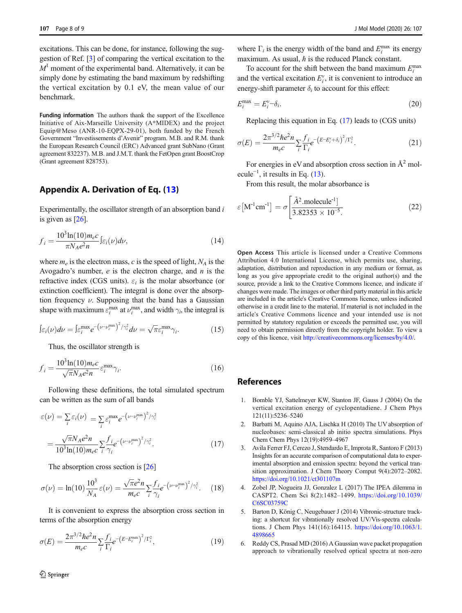<span id="page-7-0"></span>excitations. This can be done, for instance, following the suggestion of Ref. [3] of comparing the vertical excitation to the  $M<sup>1</sup>$  moment of the experimental band. Alternatively, it can be simply done by estimating the band maximum by redshifting the vertical excitation by 0.1 eV, the mean value of our benchmark.

Funding information The authors thank the support of the Excellence Initiative of Aix-Marseille University (A\*MIDEX) and the project Equip@Meso (ANR-10-EQPX-29-01), both funded by the French Government "Investissements d'Avenir" program. M.B. and R.M. thank the European Research Council (ERC) Advanced grant SubNano (Grant agreement 832237). M.B. and J.M.T. thank the FetOpen grant BoostCrop (Grant agreement 828753).

## Appendix A. Derivation of Eq. [\(13\)](#page-4-0)

Experimentally, the oscillator strength of an absorption band  $i$ is given as [\[26\]](#page-8-0).

$$
f_i = \frac{10^3 \ln(10) m_e c}{\pi N_A e^2 n} \int \varepsilon_i(\nu) d\nu,
$$
\n(14)

where  $m_e$  is the electron mass, c is the speed of light,  $N_A$  is the Avogadro's number,  $e$  is the electron charge, and  $n$  is the refractive index (CGS units).  $\varepsilon_i$  is the molar absorbance (or extinction coefficient). The integral is done over the absorption frequency  $\nu$ . Supposing that the band has a Gaussian shape with maximum  $\varepsilon_i^{\max}$  at  $\nu_i^{\max}$ , and width  $\gamma_i$ , the integral is

$$
\int \varepsilon_i(\nu) d\nu = \int \varepsilon_i^{\max} e^{-\left(\nu - \nu_i^{\max}\right)^2 / \gamma_i^2} d\nu = \sqrt{\pi} \varepsilon_i^{\max} \gamma_i.
$$
 (15)

Thus, the oscillator strength is

$$
f_i = \frac{10^3 \ln(10) m_e c}{\sqrt{\pi} N_A e^2 n} \varepsilon_i^{\text{max}} \gamma_i.
$$
 (16)

Following these definitions, the total simulated spectrum can be written as the sum of all bands

$$
\varepsilon(\nu) = \sum_{i} \varepsilon_{i}(\nu) = \sum_{i} \varepsilon_{i}^{\max} e^{-\left(\nu - \nu_{i}^{\max}\right)^{2}/\gamma_{i}^{2}}
$$

$$
= \frac{\sqrt{\pi}N_{A}e^{2}n}{10^{3}\ln(10)m_{e}c} \sum_{i} \frac{f_{i}}{\gamma_{i}} e^{-\left(\nu - \nu_{i}^{\max}\right)^{2}/\gamma_{i}^{2}}.
$$
(17)

The absorption cross section is [\[26](#page-8-0)]

$$
\sigma(\nu) = \ln(10) \frac{10^3}{N_A} \varepsilon(\nu) = \frac{\sqrt{\pi} e^2 n}{m_e c} \sum_{i} \frac{f_{i}}{\gamma_i} e^{-\left(\nu - \nu_i^{\text{max}}\right)^2 / \gamma_i^2}.
$$
 (18)

It is convenient to express the absorption cross section in terms of the absorption energy

$$
\sigma(E) = \frac{2\pi^{3/2}\hbar e^2 n}{m_e c} \sum_{i} \frac{f_{i}}{\Gamma_i} e^{-\left(E - E_i^{\text{max}}\right)^2/\Gamma_i^2},\tag{19}
$$

where  $\Gamma_i$  is the energy width of the band and  $E_i^{\text{max}}$  its energy maximum. As usual,  $\hbar$  is the reduced Planck constant.

To account for the shift between the band maximum  $E_i^{\text{max}}$ and the vertical excitation  $E_i^v$ , it is convenient to introduce an energy-shift parameter  $\delta_i$  to account for this effect:

$$
E_i^{\max} = E_i^{\nu} - \delta_i. \tag{20}
$$

Replacing this equation in Eq. (17) leads to (CGS units)

$$
\sigma(E) = \frac{2\pi^{3/2}\hbar e^2 n}{m_e c} \sum_{i} \frac{f_{i}}{\Gamma_i} e^{-\left(E - E_i^{\nu} + \delta_i\right)^2/\Gamma_i^2}.
$$
\n(21)

For energies in eV and absorption cross section in  $A^2$  molecule<sup>-1</sup>, it results in Eq.  $(13)$ .

From this result, the molar absorbance is

$$
\varepsilon \left[ \mathbf{M}^{-1} \mathbf{cm}^{-1} \right] = \sigma \left[ \frac{\mathring{A}^2 \text{.molecule}^{-1}}{3.82353 \times 10^{-5}} \right] \tag{22}
$$

Open Access This article is licensed under a Creative Commons Attribution 4.0 International License, which permits use, sharing, adaptation, distribution and reproduction in any medium or format, as long as you give appropriate credit to the original author(s) and the source, provide a link to the Creative Commons licence, and indicate if changes were made. The images or other third party material in this article are included in the article's Creative Commons licence, unless indicated otherwise in a credit line to the material. If material is not included in the article's Creative Commons licence and your intended use is not permitted by statutory regulation or exceeds the permitted use, you will need to obtain permission directly from the copyright holder. To view a copy of this licence, visit [http://creativecommons.org/licenses/by/4.0/.](http://creativecommons.org/licenses/by/4.0/)

## References

- 1. Bomble YJ, Sattelmeyer KW, Stanton JF, Gauss J (2004) On the vertical excitation energy of cyclopentadiene. J Chem Phys 121(11):5236–5240
- 2. Barbatti M, Aquino AJA, Lischka H (2010) The UV absorption of nucleobases: semi-classical ab initio spectra simulations. Phys Chem Chem Phys 12(19):4959–4967
- 3. Avila Ferrer FJ, Cerezo J, Stendardo E, Improta R, Santoro F (2013) Insights for an accurate comparison of computational data to experimental absorption and emission spectra: beyond the vertical transition approximation. J Chem Theory Comput 9(4):2072–2082. <https://doi.org/10.1021/ct301107m>
- 4. Zobel JP, Nogueira JJ, Gonzalez L (2017) The IPEA dilemma in CASPT2. Chem Sci 8(2):1482–1499. [https://doi.org/10.1039/](https://doi.org/10.1039/C6SC03759C) [C6SC03759C](https://doi.org/10.1039/C6SC03759C)
- 5. Barton D, König C, Neugebauer J (2014) Vibronic-structure tracking: a shortcut for vibrationally resolved UV/Vis-spectra calculations. J Chem Phys 141(16):164115. [https://doi.org/10.1063/1.](https://doi.org/10.1063/1.4898665) [4898665](https://doi.org/10.1063/1.4898665)
- 6. Reddy CS, Prasad MD (2016) A Gaussian wave packet propagation approach to vibrationally resolved optical spectra at non-zero